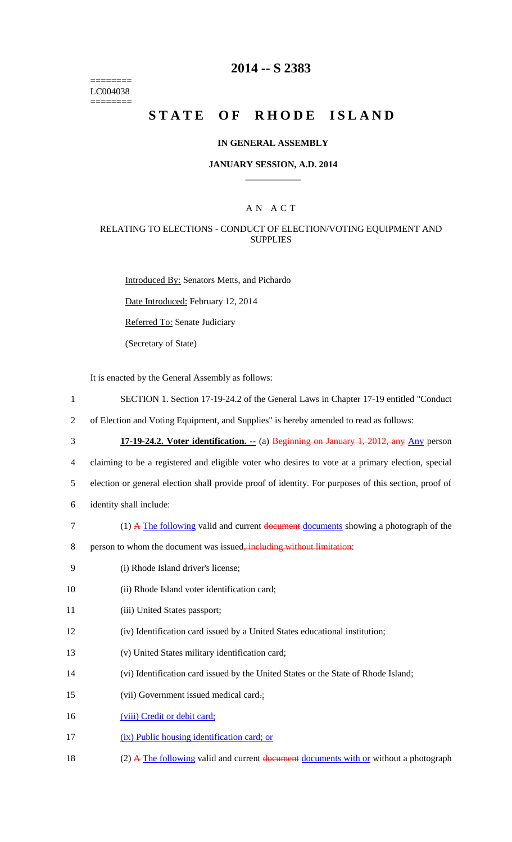======== LC004038 ========

# **2014 -- S 2383**

# STATE OF RHODE ISLAND

### **IN GENERAL ASSEMBLY**

### **JANUARY SESSION, A.D. 2014 \_\_\_\_\_\_\_\_\_\_\_\_**

# A N A C T

### RELATING TO ELECTIONS - CONDUCT OF ELECTION/VOTING EQUIPMENT AND **SUPPLIES**

Introduced By: Senators Metts, and Pichardo

Date Introduced: February 12, 2014

Referred To: Senate Judiciary

(Secretary of State)

It is enacted by the General Assembly as follows:

- 1 SECTION 1. Section 17-19-24.2 of the General Laws in Chapter 17-19 entitled "Conduct
- 2 of Election and Voting Equipment, and Supplies" is hereby amended to read as follows:
- 

3 **17-19-24.2. Voter identification. --** (a) Beginning on January 1, 2012, any Any person

4 claiming to be a registered and eligible voter who desires to vote at a primary election, special

5 election or general election shall provide proof of identity. For purposes of this section, proof of

- 6 identity shall include:
- 7 (1) A The following valid and current document documents showing a photograph of the
- 8 person to whom the document was issued<del>, including without limitation</del>:
- 9 (i) Rhode Island driver's license;
- 10 (ii) Rhode Island voter identification card;
- 11 (iii) United States passport;
- 12 (iv) Identification card issued by a United States educational institution;
- 13 (v) United States military identification card;
- 14 (vi) Identification card issued by the United States or the State of Rhode Island;
- 15 (vii) Government issued medical card-;
- 16 (viii) Credit or debit card;
- 17 (ix) Public housing identification card; or
- 18 (2) A The following valid and current document documents with or without a photograph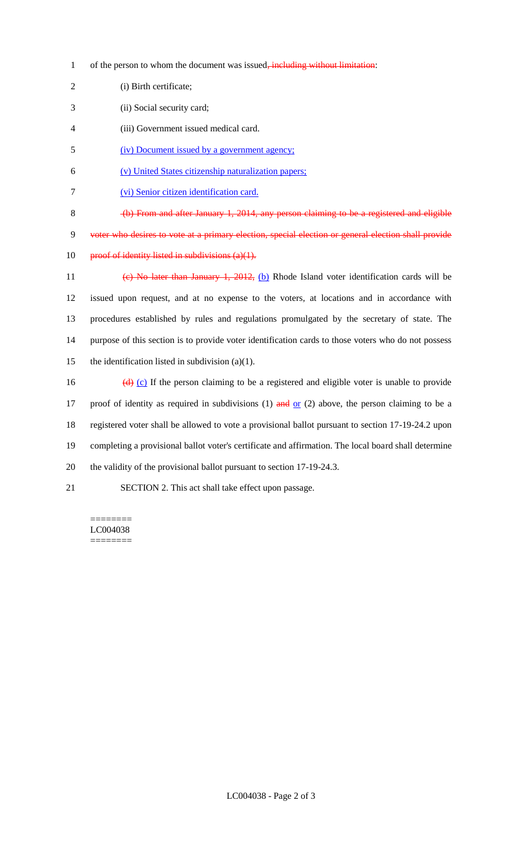- 1 of the person to whom the document was issued, including without limitation:
- 2 (i) Birth certificate;
- 3 (ii) Social security card;
- 4 (iii) Government issued medical card.
- 5 (iv) Document issued by a government agency;
- 6 (v) United States citizenship naturalization papers;
- 7 (vi) Senior citizen identification card.

8 (b) From and after January 1, 2014, any person claiming to be a registered and eligible 9 voter who desires to vote at a primary election, special election or general election shall provide 10 proof of identity listed in subdivisions  $(a)(1)$ .

- 11 (c) No later than January 1, 2012, (b) Rhode Island voter identification cards will be 12 issued upon request, and at no expense to the voters, at locations and in accordance with 13 procedures established by rules and regulations promulgated by the secretary of state. The 14 purpose of this section is to provide voter identification cards to those voters who do not possess 15 the identification listed in subdivision  $(a)(1)$ .
- 16  $(d)$  (c) If the person claiming to be a registered and eligible voter is unable to provide 17 proof of identity as required in subdivisions (1)  $\frac{and}{end}$  or (2) above, the person claiming to be a 18 registered voter shall be allowed to vote a provisional ballot pursuant to section 17-19-24.2 upon 19 completing a provisional ballot voter's certificate and affirmation. The local board shall determine 20 the validity of the provisional ballot pursuant to section 17-19-24.3.
- 21 SECTION 2. This act shall take effect upon passage.

#### ======== LC004038 ========